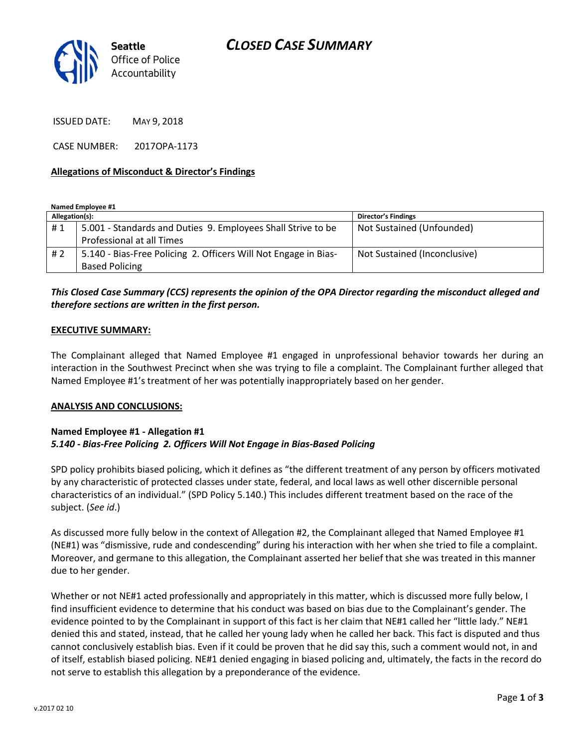

ISSUED DATE: MAY 9, 2018

CASE NUMBER: 2017OPA-1173

#### **Allegations of Misconduct & Director's Findings**

**Named Employee #1**

| Allegation(s): |                                                                 | <b>Director's Findings</b>   |
|----------------|-----------------------------------------------------------------|------------------------------|
| #1             | 5.001 - Standards and Duties 9. Employees Shall Strive to be    | Not Sustained (Unfounded)    |
|                | Professional at all Times                                       |                              |
| #2             | 5.140 - Bias-Free Policing 2. Officers Will Not Engage in Bias- | Not Sustained (Inconclusive) |
|                | <b>Based Policing</b>                                           |                              |

## *This Closed Case Summary (CCS) represents the opinion of the OPA Director regarding the misconduct alleged and therefore sections are written in the first person.*

#### **EXECUTIVE SUMMARY:**

The Complainant alleged that Named Employee #1 engaged in unprofessional behavior towards her during an interaction in the Southwest Precinct when she was trying to file a complaint. The Complainant further alleged that Named Employee #1's treatment of her was potentially inappropriately based on her gender.

#### **ANALYSIS AND CONCLUSIONS:**

### **Named Employee #1 - Allegation #1** *5.140 - Bias-Free Policing 2. Officers Will Not Engage in Bias-Based Policing*

SPD policy prohibits biased policing, which it defines as "the different treatment of any person by officers motivated by any characteristic of protected classes under state, federal, and local laws as well other discernible personal characteristics of an individual." (SPD Policy 5.140.) This includes different treatment based on the race of the subject. (*See id*.)

As discussed more fully below in the context of Allegation #2, the Complainant alleged that Named Employee #1 (NE#1) was "dismissive, rude and condescending" during his interaction with her when she tried to file a complaint. Moreover, and germane to this allegation, the Complainant asserted her belief that she was treated in this manner due to her gender.

Whether or not NE#1 acted professionally and appropriately in this matter, which is discussed more fully below, I find insufficient evidence to determine that his conduct was based on bias due to the Complainant's gender. The evidence pointed to by the Complainant in support of this fact is her claim that NE#1 called her "little lady." NE#1 denied this and stated, instead, that he called her young lady when he called her back. This fact is disputed and thus cannot conclusively establish bias. Even if it could be proven that he did say this, such a comment would not, in and of itself, establish biased policing. NE#1 denied engaging in biased policing and, ultimately, the facts in the record do not serve to establish this allegation by a preponderance of the evidence.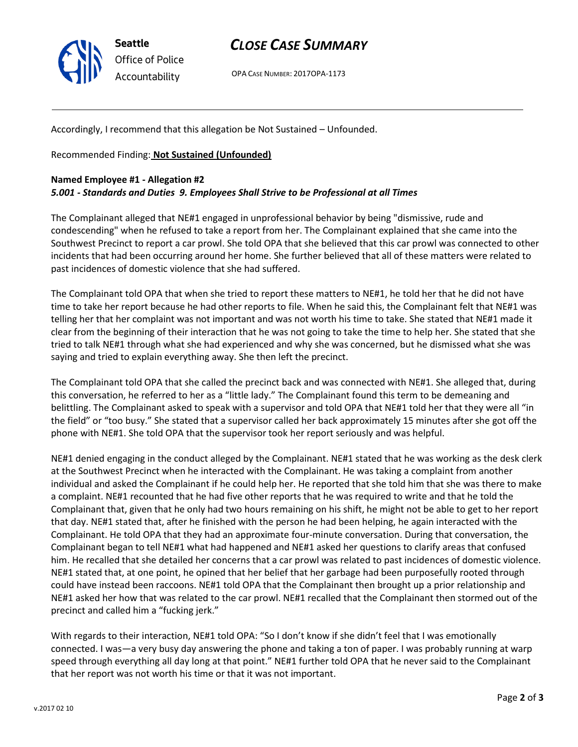

## *CLOSE CASE SUMMARY*

OPA CASE NUMBER: 2017OPA-1173

Accordingly, I recommend that this allegation be Not Sustained – Unfounded.

Recommended Finding: **Not Sustained (Unfounded)**

#### **Named Employee #1 - Allegation #2**

### *5.001 - Standards and Duties 9. Employees Shall Strive to be Professional at all Times*

The Complainant alleged that NE#1 engaged in unprofessional behavior by being "dismissive, rude and condescending" when he refused to take a report from her. The Complainant explained that she came into the Southwest Precinct to report a car prowl. She told OPA that she believed that this car prowl was connected to other incidents that had been occurring around her home. She further believed that all of these matters were related to past incidences of domestic violence that she had suffered.

The Complainant told OPA that when she tried to report these matters to NE#1, he told her that he did not have time to take her report because he had other reports to file. When he said this, the Complainant felt that NE#1 was telling her that her complaint was not important and was not worth his time to take. She stated that NE#1 made it clear from the beginning of their interaction that he was not going to take the time to help her. She stated that she tried to talk NE#1 through what she had experienced and why she was concerned, but he dismissed what she was saying and tried to explain everything away. She then left the precinct.

The Complainant told OPA that she called the precinct back and was connected with NE#1. She alleged that, during this conversation, he referred to her as a "little lady." The Complainant found this term to be demeaning and belittling. The Complainant asked to speak with a supervisor and told OPA that NE#1 told her that they were all "in the field" or "too busy." She stated that a supervisor called her back approximately 15 minutes after she got off the phone with NE#1. She told OPA that the supervisor took her report seriously and was helpful.

NE#1 denied engaging in the conduct alleged by the Complainant. NE#1 stated that he was working as the desk clerk at the Southwest Precinct when he interacted with the Complainant. He was taking a complaint from another individual and asked the Complainant if he could help her. He reported that she told him that she was there to make a complaint. NE#1 recounted that he had five other reports that he was required to write and that he told the Complainant that, given that he only had two hours remaining on his shift, he might not be able to get to her report that day. NE#1 stated that, after he finished with the person he had been helping, he again interacted with the Complainant. He told OPA that they had an approximate four-minute conversation. During that conversation, the Complainant began to tell NE#1 what had happened and NE#1 asked her questions to clarify areas that confused him. He recalled that she detailed her concerns that a car prowl was related to past incidences of domestic violence. NE#1 stated that, at one point, he opined that her belief that her garbage had been purposefully rooted through could have instead been raccoons. NE#1 told OPA that the Complainant then brought up a prior relationship and NE#1 asked her how that was related to the car prowl. NE#1 recalled that the Complainant then stormed out of the precinct and called him a "fucking jerk."

With regards to their interaction, NE#1 told OPA: "So I don't know if she didn't feel that I was emotionally connected. I was—a very busy day answering the phone and taking a ton of paper. I was probably running at warp speed through everything all day long at that point." NE#1 further told OPA that he never said to the Complainant that her report was not worth his time or that it was not important.